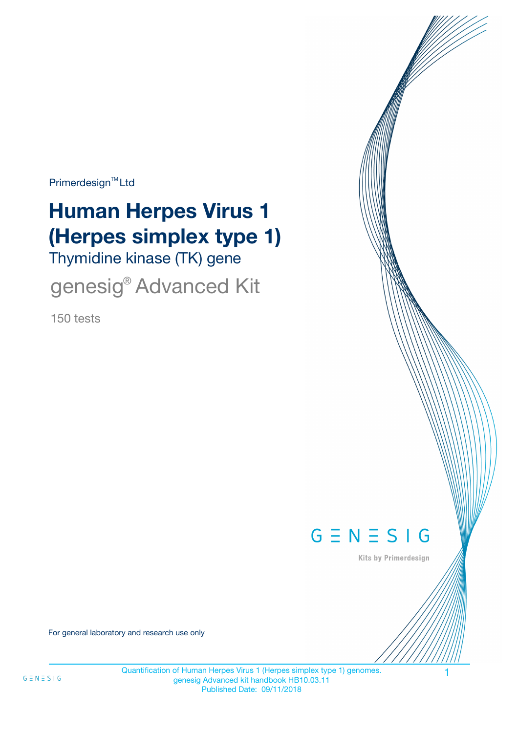Primerdesign<sup>™</sup>Ltd

# **Human Herpes Virus 1 (Herpes simplex type 1)**

Thymidine kinase (TK) gene

genesig® Advanced Kit

150 tests



Kits by Primerdesign

For general laboratory and research use only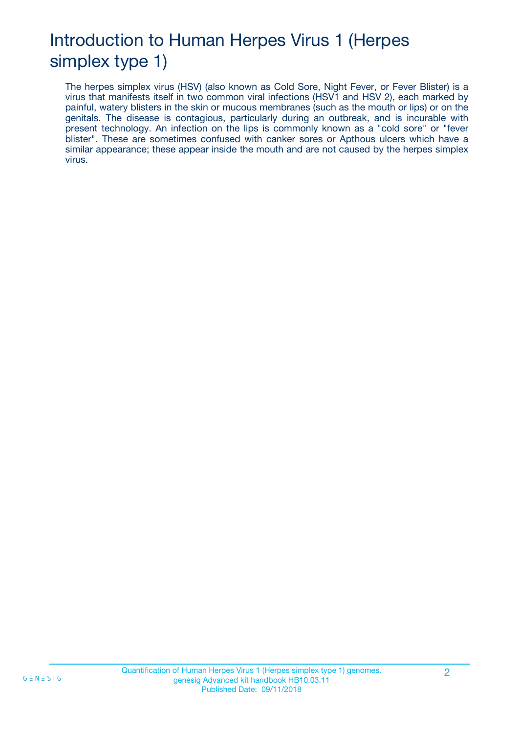# Introduction to Human Herpes Virus 1 (Herpes simplex type 1)

The herpes simplex virus (HSV) (also known as Cold Sore, Night Fever, or Fever Blister) is a virus that manifests itself in two common viral infections (HSV1 and HSV 2), each marked by painful, watery blisters in the skin or mucous membranes (such as the mouth or lips) or on the genitals. The disease is contagious, particularly during an outbreak, and is incurable with present technology. An infection on the lips is commonly known as a "cold sore" or "fever blister". These are sometimes confused with canker sores or Apthous ulcers which have a similar appearance; these appear inside the mouth and are not caused by the herpes simplex virus.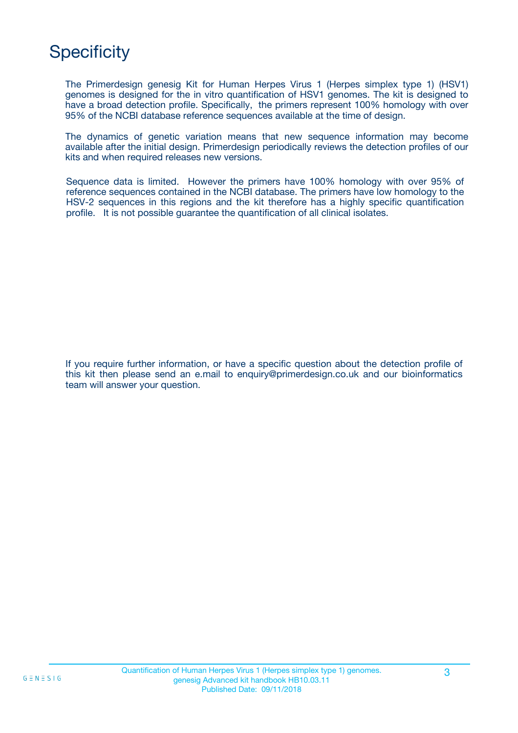# **Specificity**

The Primerdesign genesig Kit for Human Herpes Virus 1 (Herpes simplex type 1) (HSV1) genomes is designed for the in vitro quantification of HSV1 genomes. The kit is designed to have a broad detection profile. Specifically, the primers represent 100% homology with over 95% of the NCBI database reference sequences available at the time of design.

The dynamics of genetic variation means that new sequence information may become available after the initial design. Primerdesign periodically reviews the detection profiles of our kits and when required releases new versions.

Sequence data is limited. However the primers have 100% homology with over 95% of reference sequences contained in the NCBI database. The primers have low homology to the HSV-2 sequences in this regions and the kit therefore has a highly specific quantification profile. It is not possible guarantee the quantification of all clinical isolates.

If you require further information, or have a specific question about the detection profile of this kit then please send an e.mail to enquiry@primerdesign.co.uk and our bioinformatics team will answer your question.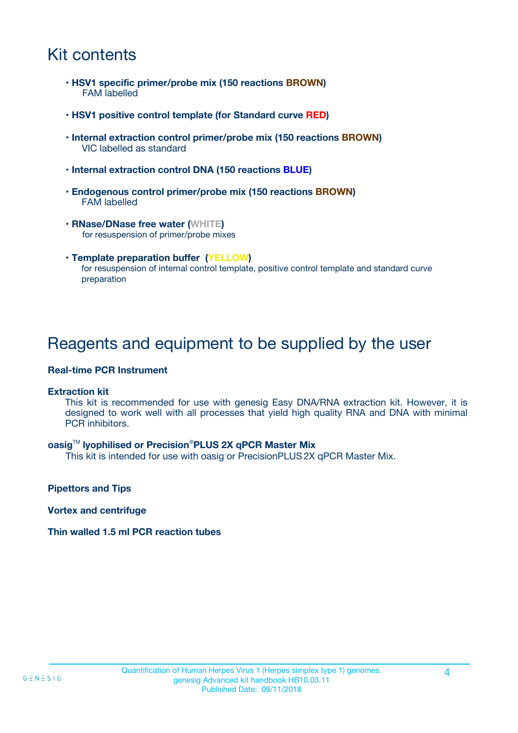### Kit contents

- **HSV1 specific primer/probe mix (150 reactions BROWN)** FAM labelled
- **HSV1 positive control template (for Standard curve RED)**
- **Internal extraction control primer/probe mix (150 reactions BROWN)** VIC labelled as standard
- **Internal extraction control DNA (150 reactions BLUE)**
- **Endogenous control primer/probe mix (150 reactions BROWN)** FAM labelled
- **RNase/DNase free water (WHITE)** for resuspension of primer/probe mixes
- **Template preparation buffer (YELLOW)** for resuspension of internal control template, positive control template and standard curve preparation

### Reagents and equipment to be supplied by the user

#### **Real-time PCR Instrument**

#### **Extraction kit**

This kit is recommended for use with genesig Easy DNA/RNA extraction kit. However, it is designed to work well with all processes that yield high quality RNA and DNA with minimal PCR inhibitors.

#### **oasig**TM **lyophilised or Precision**®**PLUS 2X qPCR Master Mix**

This kit is intended for use with oasig or PrecisionPLUS2X qPCR Master Mix.

**Pipettors and Tips**

**Vortex and centrifuge**

#### **Thin walled 1.5 ml PCR reaction tubes**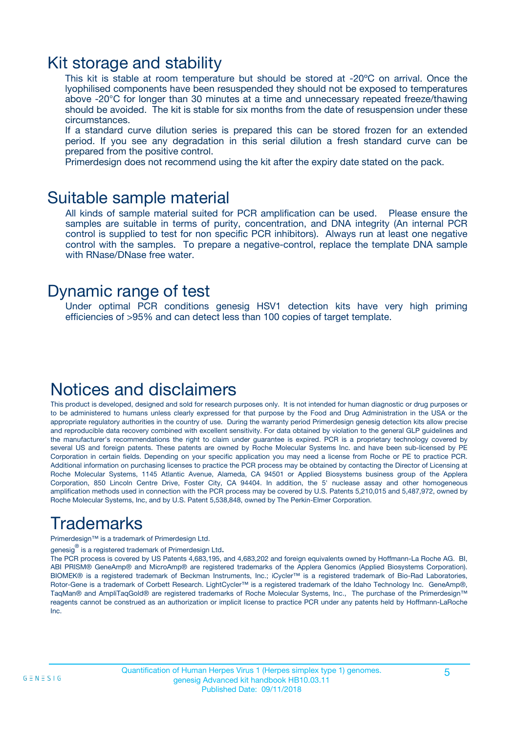### Kit storage and stability

This kit is stable at room temperature but should be stored at -20ºC on arrival. Once the lyophilised components have been resuspended they should not be exposed to temperatures above -20°C for longer than 30 minutes at a time and unnecessary repeated freeze/thawing should be avoided. The kit is stable for six months from the date of resuspension under these circumstances.

If a standard curve dilution series is prepared this can be stored frozen for an extended period. If you see any degradation in this serial dilution a fresh standard curve can be prepared from the positive control.

Primerdesign does not recommend using the kit after the expiry date stated on the pack.

### Suitable sample material

All kinds of sample material suited for PCR amplification can be used. Please ensure the samples are suitable in terms of purity, concentration, and DNA integrity (An internal PCR control is supplied to test for non specific PCR inhibitors). Always run at least one negative control with the samples. To prepare a negative-control, replace the template DNA sample with RNase/DNase free water.

### Dynamic range of test

Under optimal PCR conditions genesig HSV1 detection kits have very high priming efficiencies of >95% and can detect less than 100 copies of target template.

### Notices and disclaimers

This product is developed, designed and sold for research purposes only. It is not intended for human diagnostic or drug purposes or to be administered to humans unless clearly expressed for that purpose by the Food and Drug Administration in the USA or the appropriate regulatory authorities in the country of use. During the warranty period Primerdesign genesig detection kits allow precise and reproducible data recovery combined with excellent sensitivity. For data obtained by violation to the general GLP guidelines and the manufacturer's recommendations the right to claim under guarantee is expired. PCR is a proprietary technology covered by several US and foreign patents. These patents are owned by Roche Molecular Systems Inc. and have been sub-licensed by PE Corporation in certain fields. Depending on your specific application you may need a license from Roche or PE to practice PCR. Additional information on purchasing licenses to practice the PCR process may be obtained by contacting the Director of Licensing at Roche Molecular Systems, 1145 Atlantic Avenue, Alameda, CA 94501 or Applied Biosystems business group of the Applera Corporation, 850 Lincoln Centre Drive, Foster City, CA 94404. In addition, the 5' nuclease assay and other homogeneous amplification methods used in connection with the PCR process may be covered by U.S. Patents 5,210,015 and 5,487,972, owned by Roche Molecular Systems, Inc, and by U.S. Patent 5,538,848, owned by The Perkin-Elmer Corporation.

# Trademarks

Primerdesign™ is a trademark of Primerdesign Ltd.

genesig $^\circledR$  is a registered trademark of Primerdesign Ltd.

The PCR process is covered by US Patents 4,683,195, and 4,683,202 and foreign equivalents owned by Hoffmann-La Roche AG. BI, ABI PRISM® GeneAmp® and MicroAmp® are registered trademarks of the Applera Genomics (Applied Biosystems Corporation). BIOMEK® is a registered trademark of Beckman Instruments, Inc.; iCycler™ is a registered trademark of Bio-Rad Laboratories, Rotor-Gene is a trademark of Corbett Research. LightCycler™ is a registered trademark of the Idaho Technology Inc. GeneAmp®, TaqMan® and AmpliTaqGold® are registered trademarks of Roche Molecular Systems, Inc., The purchase of the Primerdesign™ reagents cannot be construed as an authorization or implicit license to practice PCR under any patents held by Hoffmann-LaRoche Inc.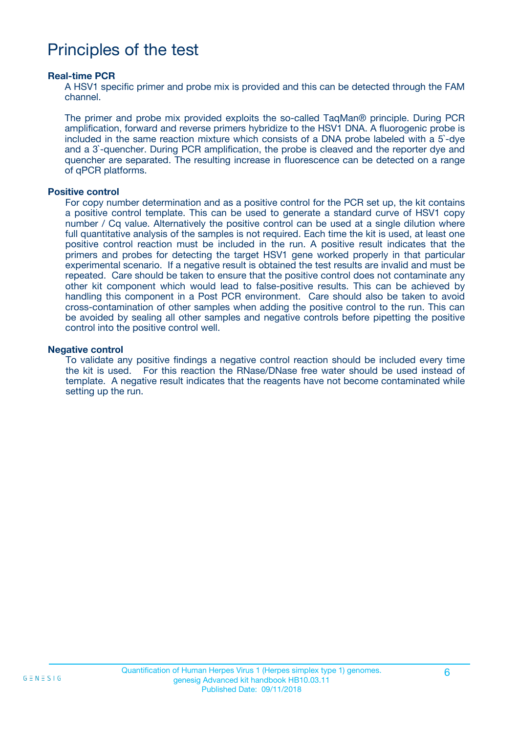### Principles of the test

#### **Real-time PCR**

A HSV1 specific primer and probe mix is provided and this can be detected through the FAM channel.

The primer and probe mix provided exploits the so-called TaqMan® principle. During PCR amplification, forward and reverse primers hybridize to the HSV1 DNA. A fluorogenic probe is included in the same reaction mixture which consists of a DNA probe labeled with a 5`-dye and a 3`-quencher. During PCR amplification, the probe is cleaved and the reporter dye and quencher are separated. The resulting increase in fluorescence can be detected on a range of qPCR platforms.

#### **Positive control**

For copy number determination and as a positive control for the PCR set up, the kit contains a positive control template. This can be used to generate a standard curve of HSV1 copy number / Cq value. Alternatively the positive control can be used at a single dilution where full quantitative analysis of the samples is not required. Each time the kit is used, at least one positive control reaction must be included in the run. A positive result indicates that the primers and probes for detecting the target HSV1 gene worked properly in that particular experimental scenario. If a negative result is obtained the test results are invalid and must be repeated. Care should be taken to ensure that the positive control does not contaminate any other kit component which would lead to false-positive results. This can be achieved by handling this component in a Post PCR environment. Care should also be taken to avoid cross-contamination of other samples when adding the positive control to the run. This can be avoided by sealing all other samples and negative controls before pipetting the positive control into the positive control well.

#### **Negative control**

To validate any positive findings a negative control reaction should be included every time the kit is used. For this reaction the RNase/DNase free water should be used instead of template. A negative result indicates that the reagents have not become contaminated while setting up the run.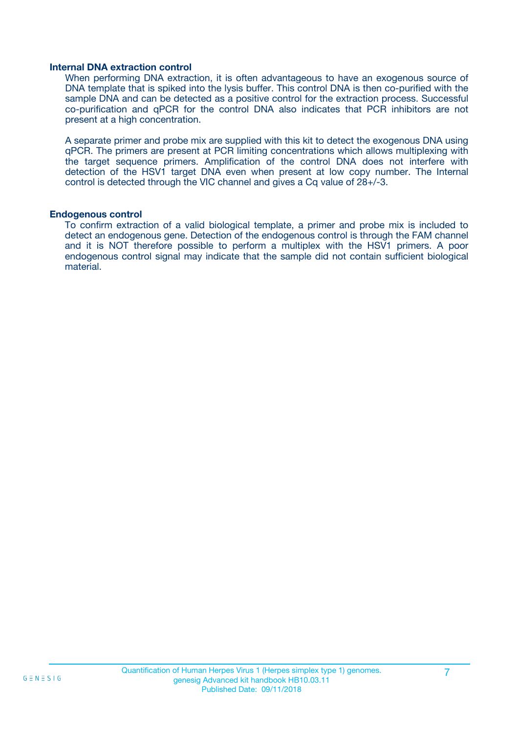#### **Internal DNA extraction control**

When performing DNA extraction, it is often advantageous to have an exogenous source of DNA template that is spiked into the lysis buffer. This control DNA is then co-purified with the sample DNA and can be detected as a positive control for the extraction process. Successful co-purification and qPCR for the control DNA also indicates that PCR inhibitors are not present at a high concentration.

A separate primer and probe mix are supplied with this kit to detect the exogenous DNA using qPCR. The primers are present at PCR limiting concentrations which allows multiplexing with the target sequence primers. Amplification of the control DNA does not interfere with detection of the HSV1 target DNA even when present at low copy number. The Internal control is detected through the VIC channel and gives a Cq value of 28+/-3.

#### **Endogenous control**

To confirm extraction of a valid biological template, a primer and probe mix is included to detect an endogenous gene. Detection of the endogenous control is through the FAM channel and it is NOT therefore possible to perform a multiplex with the HSV1 primers. A poor endogenous control signal may indicate that the sample did not contain sufficient biological material.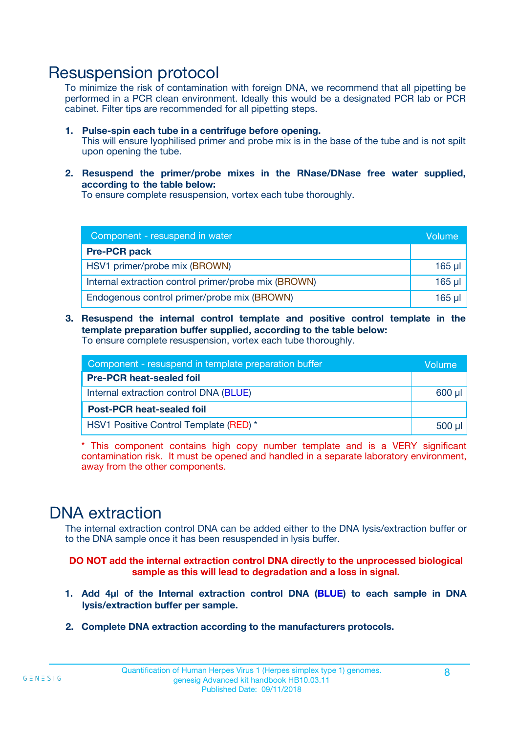### Resuspension protocol

To minimize the risk of contamination with foreign DNA, we recommend that all pipetting be performed in a PCR clean environment. Ideally this would be a designated PCR lab or PCR cabinet. Filter tips are recommended for all pipetting steps.

- **1. Pulse-spin each tube in a centrifuge before opening.** This will ensure lyophilised primer and probe mix is in the base of the tube and is not spilt upon opening the tube.
- **2. Resuspend the primer/probe mixes in the RNase/DNase free water supplied, according to the table below:**

To ensure complete resuspension, vortex each tube thoroughly.

| Component - resuspend in water                       |         |  |
|------------------------------------------------------|---------|--|
| <b>Pre-PCR pack</b>                                  |         |  |
| HSV1 primer/probe mix (BROWN)                        | $165$ µ |  |
| Internal extraction control primer/probe mix (BROWN) | 165 µl  |  |
| Endogenous control primer/probe mix (BROWN)          | 165 µl  |  |

**3. Resuspend the internal control template and positive control template in the template preparation buffer supplied, according to the table below:** To ensure complete resuspension, vortex each tube thoroughly.

| Component - resuspend in template preparation buffer |          |  |
|------------------------------------------------------|----------|--|
| <b>Pre-PCR heat-sealed foil</b>                      |          |  |
| Internal extraction control DNA (BLUE)               |          |  |
| <b>Post-PCR heat-sealed foil</b>                     |          |  |
| HSV1 Positive Control Template (RED) *               | $500$ µl |  |

\* This component contains high copy number template and is a VERY significant contamination risk. It must be opened and handled in a separate laboratory environment, away from the other components.

### DNA extraction

The internal extraction control DNA can be added either to the DNA lysis/extraction buffer or to the DNA sample once it has been resuspended in lysis buffer.

**DO NOT add the internal extraction control DNA directly to the unprocessed biological sample as this will lead to degradation and a loss in signal.**

- **1. Add 4µl of the Internal extraction control DNA (BLUE) to each sample in DNA lysis/extraction buffer per sample.**
- **2. Complete DNA extraction according to the manufacturers protocols.**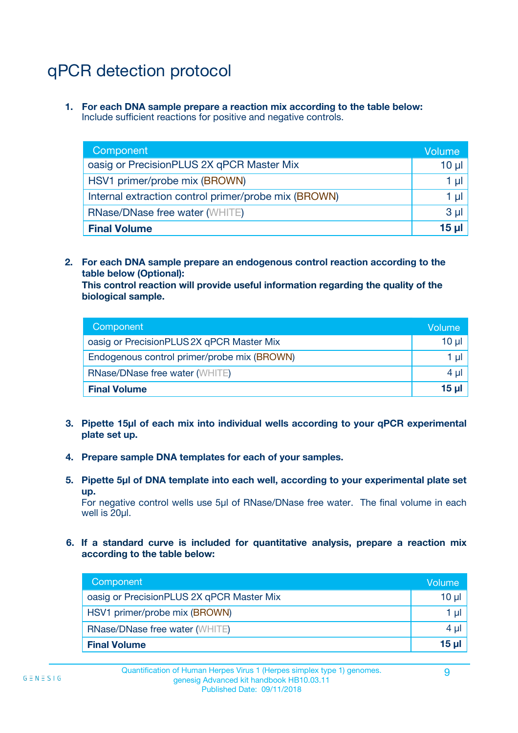# qPCR detection protocol

**1. For each DNA sample prepare a reaction mix according to the table below:** Include sufficient reactions for positive and negative controls.

| Component                                            | Volume   |
|------------------------------------------------------|----------|
| oasig or PrecisionPLUS 2X qPCR Master Mix            | 10 $\mu$ |
| HSV1 primer/probe mix (BROWN)                        | 1 µl     |
| Internal extraction control primer/probe mix (BROWN) | 1 µl     |
| <b>RNase/DNase free water (WHITE)</b>                | $3 \mu$  |
| <b>Final Volume</b>                                  | 15 µl    |

**2. For each DNA sample prepare an endogenous control reaction according to the table below (Optional):**

**This control reaction will provide useful information regarding the quality of the biological sample.**

| Component                                   | Volume   |
|---------------------------------------------|----------|
| oasig or PrecisionPLUS 2X qPCR Master Mix   | $10 \mu$ |
| Endogenous control primer/probe mix (BROWN) | 1 µI     |
| <b>RNase/DNase free water (WHITE)</b>       | $4 \mu$  |
| <b>Final Volume</b>                         | 15 µl    |

- **3. Pipette 15µl of each mix into individual wells according to your qPCR experimental plate set up.**
- **4. Prepare sample DNA templates for each of your samples.**
- **5. Pipette 5µl of DNA template into each well, according to your experimental plate set up.**

For negative control wells use 5µl of RNase/DNase free water. The final volume in each well is 20ul.

**6. If a standard curve is included for quantitative analysis, prepare a reaction mix according to the table below:**

| Component                                 | Volume       |
|-------------------------------------------|--------------|
| oasig or PrecisionPLUS 2X qPCR Master Mix | 10 ul        |
| HSV1 primer/probe mix (BROWN)             |              |
| <b>RNase/DNase free water (WHITE)</b>     | 4 µl         |
| <b>Final Volume</b>                       | <u>15 µl</u> |

 $G \equiv N \equiv S \mid G$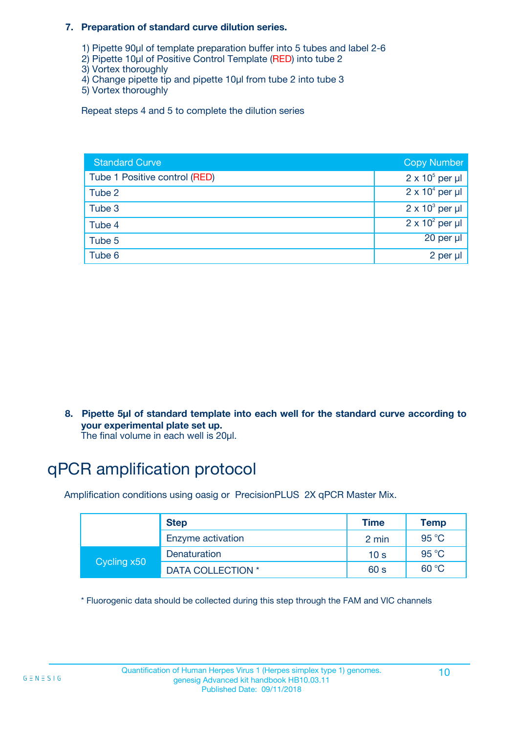#### **7. Preparation of standard curve dilution series.**

- 1) Pipette 90µl of template preparation buffer into 5 tubes and label 2-6
- 2) Pipette 10µl of Positive Control Template (RED) into tube 2
- 3) Vortex thoroughly
- 4) Change pipette tip and pipette 10µl from tube 2 into tube 3
- 5) Vortex thoroughly

Repeat steps 4 and 5 to complete the dilution series

| <b>Standard Curve</b>         | <b>Copy Number</b>     |
|-------------------------------|------------------------|
| Tube 1 Positive control (RED) | $2 \times 10^5$ per µl |
| Tube 2                        | $2 \times 10^4$ per µl |
| Tube 3                        | $2 \times 10^3$ per µl |
| Tube 4                        | $2 \times 10^2$ per µl |
| Tube 5                        | $20$ per $\mu$         |
| Tube 6                        | 2 per µl               |

**8. Pipette 5µl of standard template into each well for the standard curve according to your experimental plate set up.**

#### The final volume in each well is 20µl.

# qPCR amplification protocol

Amplification conditions using oasig or PrecisionPLUS 2X qPCR Master Mix.

|             | <b>Step</b>       | <b>Time</b>     | Temp    |
|-------------|-------------------|-----------------|---------|
|             | Enzyme activation | 2 min           | 95 °C   |
| Cycling x50 | Denaturation      | 10 <sub>s</sub> | 95 $°C$ |
|             | DATA COLLECTION * | 60 s            | 60 °C   |

\* Fluorogenic data should be collected during this step through the FAM and VIC channels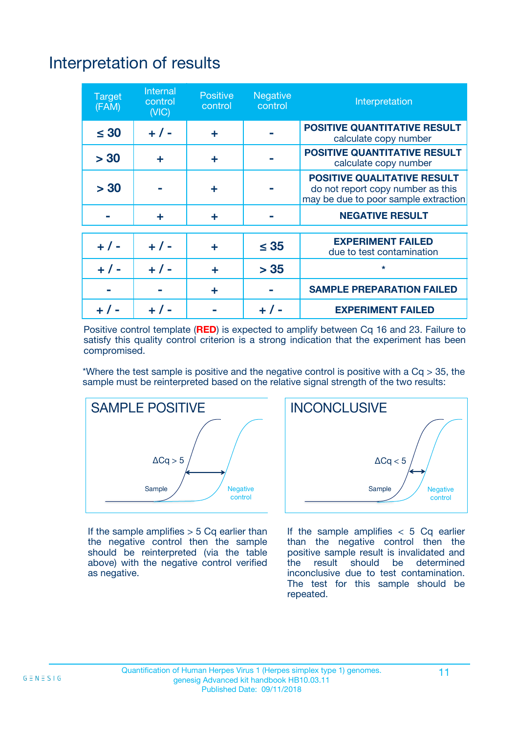# Interpretation of results

| <b>Target</b><br>(FAM) | Internal<br>control<br>(NIC) | <b>Positive</b><br>control | Negative<br>control | Interpretation                                                                                                  |
|------------------------|------------------------------|----------------------------|---------------------|-----------------------------------------------------------------------------------------------------------------|
| $\leq 30$              | $+ 1 -$                      | ÷                          |                     | <b>POSITIVE QUANTITATIVE RESULT</b><br>calculate copy number                                                    |
| > 30                   | ÷                            | ÷                          |                     | <b>POSITIVE QUANTITATIVE RESULT</b><br>calculate copy number                                                    |
| > 30                   |                              | ÷                          |                     | <b>POSITIVE QUALITATIVE RESULT</b><br>do not report copy number as this<br>may be due to poor sample extraction |
|                        | ÷                            | ÷                          |                     | <b>NEGATIVE RESULT</b>                                                                                          |
|                        |                              |                            |                     | <b>EXPERIMENT FAILED</b>                                                                                        |
| $+ 1 -$                | $+ 1 -$                      | ÷                          | $\leq 35$           | due to test contamination                                                                                       |
| $+ 1 -$                | $+ 1 -$                      | ÷                          | > 35                | $\star$                                                                                                         |
|                        |                              | ÷                          |                     | <b>SAMPLE PREPARATION FAILED</b>                                                                                |
|                        |                              |                            |                     | <b>EXPERIMENT FAILED</b>                                                                                        |

Positive control template (**RED**) is expected to amplify between Cq 16 and 23. Failure to satisfy this quality control criterion is a strong indication that the experiment has been compromised.

\*Where the test sample is positive and the negative control is positive with a  $Ca > 35$ , the sample must be reinterpreted based on the relative signal strength of the two results:



If the sample amplifies  $> 5$  Cq earlier than the negative control then the sample should be reinterpreted (via the table above) with the negative control verified as negative.



If the sample amplifies  $< 5$  Cq earlier than the negative control then the positive sample result is invalidated and<br>the result should be determined  $the$  result should be inconclusive due to test contamination. The test for this sample should be repeated.